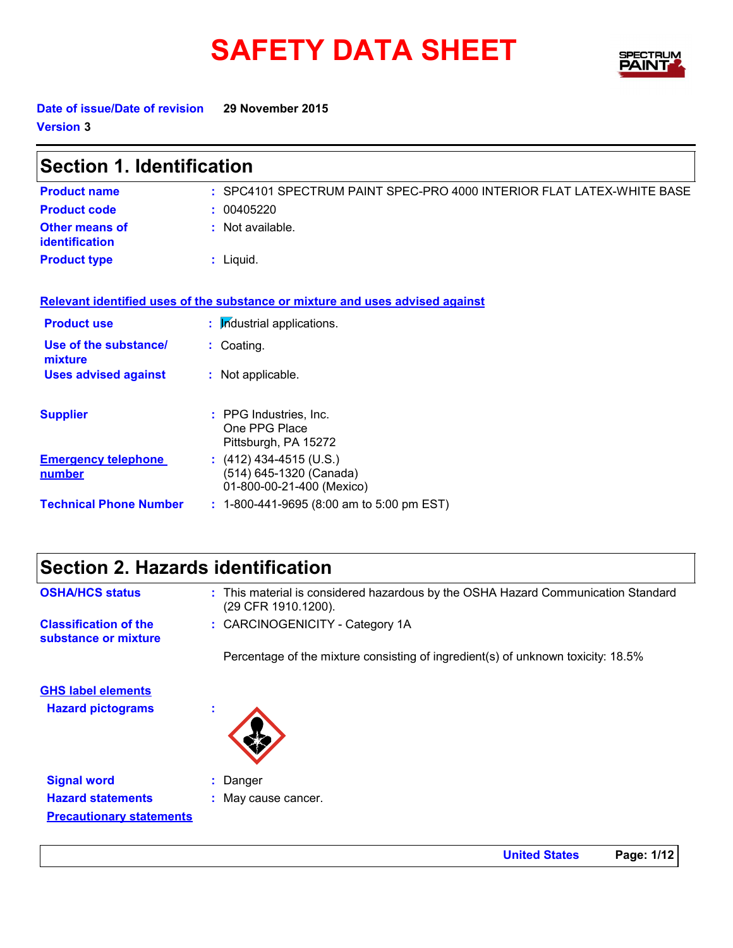# **SAFETY DATA SHEET**



**Date of issue/Date of revision 29 November 2015 Version 3**

| <b>Section 1. Identification</b>        |                                                                                   |  |
|-----------------------------------------|-----------------------------------------------------------------------------------|--|
| <b>Product name</b>                     | : SPC4101 SPECTRUM PAINT SPEC-PRO 4000 INTERIOR FLAT LATEX-WHITE BASE             |  |
| <b>Product code</b>                     | : 00405220                                                                        |  |
| <b>Other means of</b><br>identification | : Not available.                                                                  |  |
| <b>Product type</b>                     | $:$ Liquid.                                                                       |  |
|                                         | Relevant identified uses of the substance or mixture and uses advised against     |  |
| <b>Product use</b>                      | : Industrial applications.                                                        |  |
| Use of the substance/<br>mixture        | : Coating.                                                                        |  |
| <b>Uses advised against</b>             | : Not applicable.                                                                 |  |
| <b>Supplier</b>                         | : PPG Industries, Inc.<br>One PPG Place<br>Pittsburgh, PA 15272                   |  |
| <b>Emergency telephone</b><br>number    | : $(412)$ 434-4515 (U.S.)<br>(514) 645-1320 (Canada)<br>01-800-00-21-400 (Mexico) |  |
| <b>Technical Phone Number</b>           | : 1-800-441-9695 (8:00 am to 5:00 pm EST)                                         |  |

|                        | Section 2. Hazards identification      |
|------------------------|----------------------------------------|
| <b>OSHA/HCS status</b> | : This material is considered hazardou |

**Precautionary statements**

| <b>OSHA/HCS status</b>                                | : This material is considered hazardous by the OSHA Hazard Communication Standard<br>(29 CFR 1910.1200). |
|-------------------------------------------------------|----------------------------------------------------------------------------------------------------------|
| <b>Classification of the</b><br>substance or mixture  | : CARCINOGENICITY - Category 1A                                                                          |
|                                                       | Percentage of the mixture consisting of ingredient(s) of unknown toxicity: 18.5%                         |
| <b>GHS label elements</b><br><b>Hazard pictograms</b> | $\mathbf{r}$                                                                                             |
| <b>Signal word</b><br><b>Hazard statements</b>        | $:$ Danger<br>: May cause cancer.                                                                        |

**United States Page: 1/12**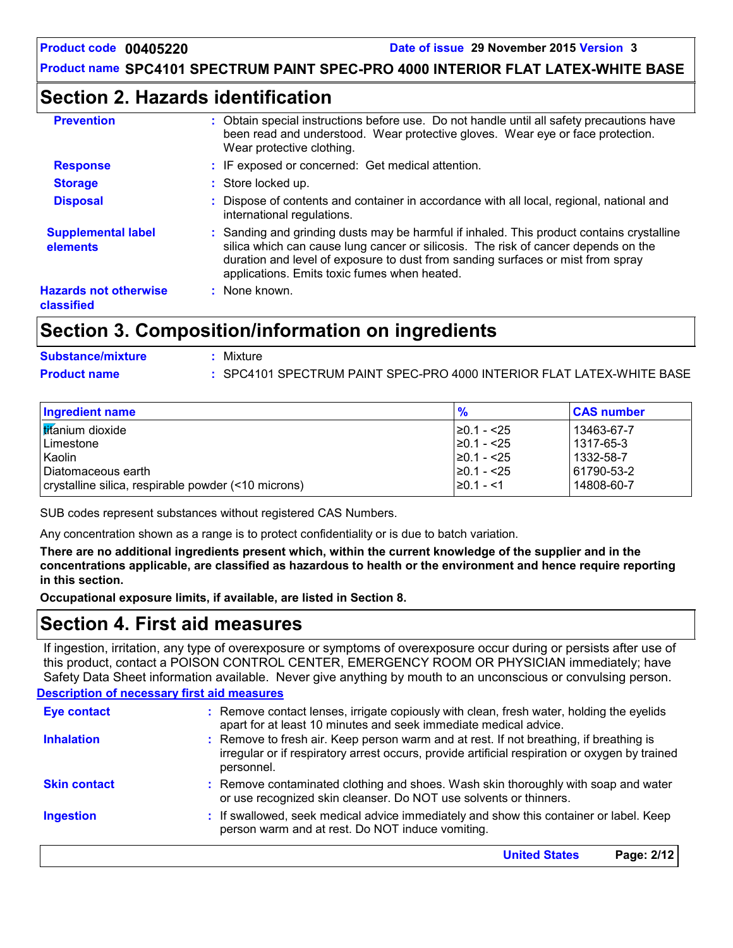### **Section 2. Hazards identification**

| <b>Prevention</b>                          | Obtain special instructions before use. Do not handle until all safety precautions have<br>been read and understood. Wear protective gloves. Wear eye or face protection.<br>Wear protective clothing.                                                                                                             |
|--------------------------------------------|--------------------------------------------------------------------------------------------------------------------------------------------------------------------------------------------------------------------------------------------------------------------------------------------------------------------|
| <b>Response</b>                            | : IF exposed or concerned: Get medical attention.                                                                                                                                                                                                                                                                  |
| <b>Storage</b>                             | : Store locked up.                                                                                                                                                                                                                                                                                                 |
| <b>Disposal</b>                            | : Dispose of contents and container in accordance with all local, regional, national and<br>international regulations.                                                                                                                                                                                             |
| <b>Supplemental label</b><br>elements      | : Sanding and grinding dusts may be harmful if inhaled. This product contains crystalline<br>silica which can cause lung cancer or silicosis. The risk of cancer depends on the<br>duration and level of exposure to dust from sanding surfaces or mist from spray<br>applications. Emits toxic fumes when heated. |
| <b>Hazards not otherwise</b><br>classified | : None known.                                                                                                                                                                                                                                                                                                      |

### **Section 3. Composition/information on ingredients**

| <b>Substance/mixture</b> | Mixture                                                               |
|--------------------------|-----------------------------------------------------------------------|
| <b>Product name</b>      | : SPC4101 SPECTRUM PAINT SPEC-PRO 4000 INTERIOR FLAT LATEX-WHITE BASE |

| Ingredient name                                     | $\frac{9}{6}$    | <b>CAS number</b> |
|-----------------------------------------------------|------------------|-------------------|
| <b>Iticanium</b> dioxide                            | $\geq$ 0.1 - <25 | 13463-67-7        |
| l Limestone                                         | $\geq$ 0.1 - <25 | 1317-65-3         |
| Kaolin                                              | $\geq$ 0.1 - <25 | 1332-58-7         |
| I Diatomaceous earth                                | $\geq$ 0.1 - <25 | 61790-53-2        |
| crystalline silica, respirable powder (<10 microns) | l≥0.1 - <1       | 14808-60-7        |

SUB codes represent substances without registered CAS Numbers.

Any concentration shown as a range is to protect confidentiality or is due to batch variation.

**There are no additional ingredients present which, within the current knowledge of the supplier and in the concentrations applicable, are classified as hazardous to health or the environment and hence require reporting in this section.**

**Occupational exposure limits, if available, are listed in Section 8.**

### **Section 4. First aid measures**

If ingestion, irritation, any type of overexposure or symptoms of overexposure occur during or persists after use of this product, contact a POISON CONTROL CENTER, EMERGENCY ROOM OR PHYSICIAN immediately; have Safety Data Sheet information available. Never give anything by mouth to an unconscious or convulsing person.

#### **Description of necessary first aid measures**

| <b>Eye contact</b>  | : Remove contact lenses, irrigate copiously with clean, fresh water, holding the eyelids<br>apart for at least 10 minutes and seek immediate medical advice.                                           |
|---------------------|--------------------------------------------------------------------------------------------------------------------------------------------------------------------------------------------------------|
| <b>Inhalation</b>   | : Remove to fresh air. Keep person warm and at rest. If not breathing, if breathing is<br>irregular or if respiratory arrest occurs, provide artificial respiration or oxygen by trained<br>personnel. |
| <b>Skin contact</b> | : Remove contaminated clothing and shoes. Wash skin thoroughly with soap and water<br>or use recognized skin cleanser. Do NOT use solvents or thinners.                                                |
| <b>Ingestion</b>    | : If swallowed, seek medical advice immediately and show this container or label. Keep<br>person warm and at rest. Do NOT induce vomiting.                                                             |
|                     | <b>United States</b><br>Page: 2/12                                                                                                                                                                     |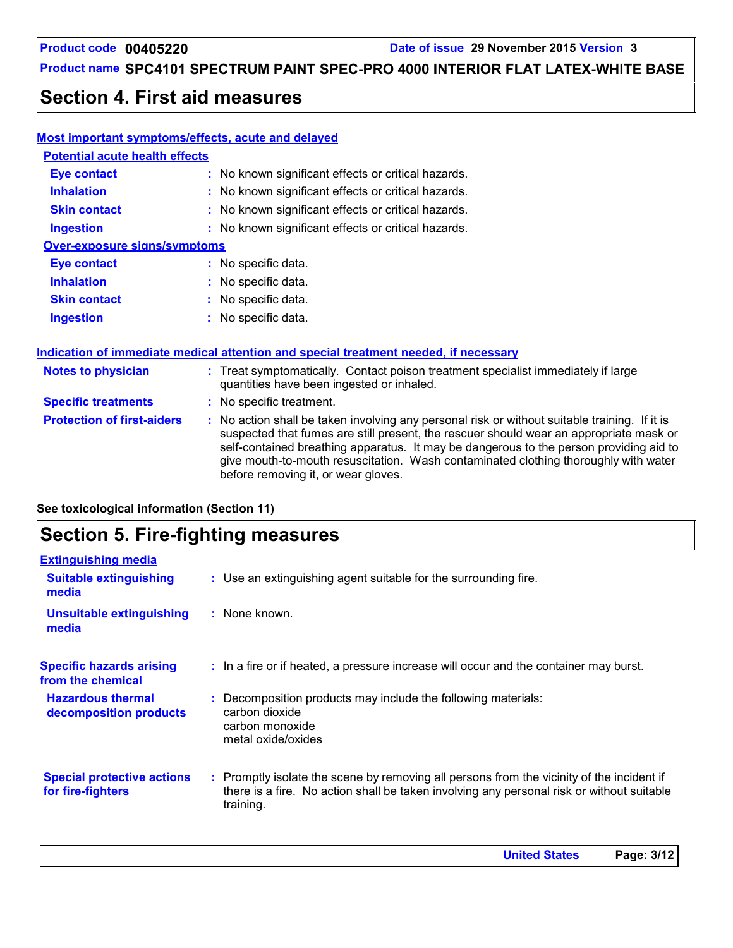### **Product name SPC4101 SPECTRUM PAINT SPEC-PRO 4000 INTERIOR FLAT LATEX-WHITE BASE**

### **Section 4. First aid measures**

#### **Most important symptoms/effects, acute and delayed**

| <b>Potential acute health effects</b> |                                                     |
|---------------------------------------|-----------------------------------------------------|
| Eye contact                           | : No known significant effects or critical hazards. |
| <b>Inhalation</b>                     | : No known significant effects or critical hazards. |
| <b>Skin contact</b>                   | : No known significant effects or critical hazards. |
| <b>Ingestion</b>                      | : No known significant effects or critical hazards. |
| <b>Over-exposure signs/symptoms</b>   |                                                     |
| Eye contact                           | : No specific data.                                 |
| <b>Inhalation</b>                     | : No specific data.                                 |
| <b>Skin contact</b>                   | : No specific data.                                 |
| <b>Ingestion</b>                      | : No specific data.                                 |

No specific data. **:**

#### **Indication of immediate medical attention and special treatment needed, if necessary**

| <b>Notes to physician</b>         | : Treat symptomatically. Contact poison treatment specialist immediately if large<br>quantities have been ingested or inhaled.                                                                                                                                                                                                                                                                                  |
|-----------------------------------|-----------------------------------------------------------------------------------------------------------------------------------------------------------------------------------------------------------------------------------------------------------------------------------------------------------------------------------------------------------------------------------------------------------------|
| <b>Specific treatments</b>        | : No specific treatment.                                                                                                                                                                                                                                                                                                                                                                                        |
| <b>Protection of first-aiders</b> | : No action shall be taken involving any personal risk or without suitable training. If it is<br>suspected that fumes are still present, the rescuer should wear an appropriate mask or<br>self-contained breathing apparatus. It may be dangerous to the person providing aid to<br>give mouth-to-mouth resuscitation. Wash contaminated clothing thoroughly with water<br>before removing it, or wear gloves. |

**See toxicological information (Section 11)**

# **Section 5. Fire-fighting measures**

| <b>Extinguishing media</b>                             |                                                                                                                                                                                                     |
|--------------------------------------------------------|-----------------------------------------------------------------------------------------------------------------------------------------------------------------------------------------------------|
| <b>Suitable extinguishing</b><br>media                 | : Use an extinguishing agent suitable for the surrounding fire.                                                                                                                                     |
| Unsuitable extinguishing<br>media                      | : None known.                                                                                                                                                                                       |
| <b>Specific hazards arising</b><br>from the chemical   | : In a fire or if heated, a pressure increase will occur and the container may burst.                                                                                                               |
| <b>Hazardous thermal</b><br>decomposition products     | Decomposition products may include the following materials:<br>carbon dioxide<br>carbon monoxide<br>metal oxide/oxides                                                                              |
| <b>Special protective actions</b><br>for fire-fighters | : Promptly isolate the scene by removing all persons from the vicinity of the incident if<br>there is a fire. No action shall be taken involving any personal risk or without suitable<br>training. |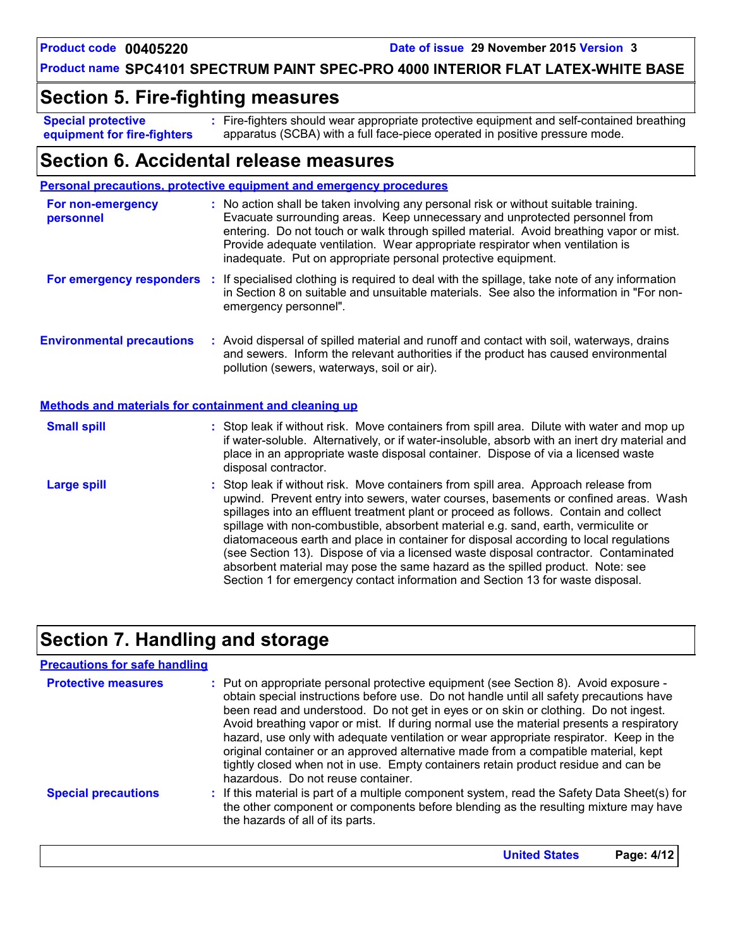**United States Page: 4/12**

#### **Product name SPC4101 SPECTRUM PAINT SPEC-PRO 4000 INTERIOR FLAT LATEX-WHITE BASE**

### **Section 5. Fire-fighting measures**

**Special protective equipment for fire-fighters** Fire-fighters should wear appropriate protective equipment and self-contained breathing **:** apparatus (SCBA) with a full face-piece operated in positive pressure mode.

### **Section 6. Accidental release measures**

|                                                              | <b>Personal precautions, protective equipment and emergency procedures</b>                                                                                                                                                                                                                                                                                                                                                                                                                                                                                                                                                                                                                                   |
|--------------------------------------------------------------|--------------------------------------------------------------------------------------------------------------------------------------------------------------------------------------------------------------------------------------------------------------------------------------------------------------------------------------------------------------------------------------------------------------------------------------------------------------------------------------------------------------------------------------------------------------------------------------------------------------------------------------------------------------------------------------------------------------|
| For non-emergency<br>personnel                               | : No action shall be taken involving any personal risk or without suitable training.<br>Evacuate surrounding areas. Keep unnecessary and unprotected personnel from<br>entering. Do not touch or walk through spilled material. Avoid breathing vapor or mist.<br>Provide adequate ventilation. Wear appropriate respirator when ventilation is<br>inadequate. Put on appropriate personal protective equipment.                                                                                                                                                                                                                                                                                             |
|                                                              | For emergency responders : If specialised clothing is required to deal with the spillage, take note of any information<br>in Section 8 on suitable and unsuitable materials. See also the information in "For non-<br>emergency personnel".                                                                                                                                                                                                                                                                                                                                                                                                                                                                  |
| <b>Environmental precautions</b>                             | : Avoid dispersal of spilled material and runoff and contact with soil, waterways, drains<br>and sewers. Inform the relevant authorities if the product has caused environmental<br>pollution (sewers, waterways, soil or air).                                                                                                                                                                                                                                                                                                                                                                                                                                                                              |
| <b>Methods and materials for containment and cleaning up</b> |                                                                                                                                                                                                                                                                                                                                                                                                                                                                                                                                                                                                                                                                                                              |
| <b>Small spill</b>                                           | : Stop leak if without risk. Move containers from spill area. Dilute with water and mop up<br>if water-soluble. Alternatively, or if water-insoluble, absorb with an inert dry material and<br>place in an appropriate waste disposal container. Dispose of via a licensed waste<br>disposal contractor.                                                                                                                                                                                                                                                                                                                                                                                                     |
| <b>Large spill</b>                                           | : Stop leak if without risk. Move containers from spill area. Approach release from<br>upwind. Prevent entry into sewers, water courses, basements or confined areas. Wash<br>spillages into an effluent treatment plant or proceed as follows. Contain and collect<br>spillage with non-combustible, absorbent material e.g. sand, earth, vermiculite or<br>diatomaceous earth and place in container for disposal according to local regulations<br>(see Section 13). Dispose of via a licensed waste disposal contractor. Contaminated<br>absorbent material may pose the same hazard as the spilled product. Note: see<br>Section 1 for emergency contact information and Section 13 for waste disposal. |

### **Section 7. Handling and storage**

#### **Precautions for safe handling**

| <b>Protective measures</b> | : Put on appropriate personal protective equipment (see Section 8). Avoid exposure -<br>obtain special instructions before use. Do not handle until all safety precautions have<br>been read and understood. Do not get in eyes or on skin or clothing. Do not ingest.<br>Avoid breathing vapor or mist. If during normal use the material presents a respiratory<br>hazard, use only with adequate ventilation or wear appropriate respirator. Keep in the<br>original container or an approved alternative made from a compatible material, kept<br>tightly closed when not in use. Empty containers retain product residue and can be<br>hazardous. Do not reuse container. |
|----------------------------|--------------------------------------------------------------------------------------------------------------------------------------------------------------------------------------------------------------------------------------------------------------------------------------------------------------------------------------------------------------------------------------------------------------------------------------------------------------------------------------------------------------------------------------------------------------------------------------------------------------------------------------------------------------------------------|
| <b>Special precautions</b> | : If this material is part of a multiple component system, read the Safety Data Sheet(s) for<br>the other component or components before blending as the resulting mixture may have<br>the hazards of all of its parts.                                                                                                                                                                                                                                                                                                                                                                                                                                                        |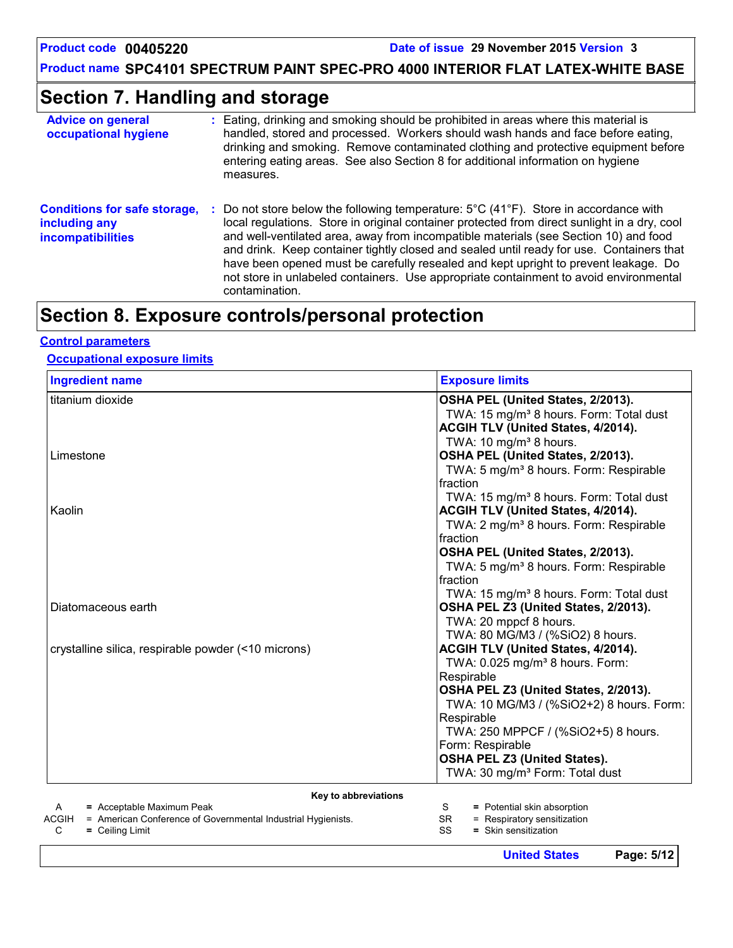**Product name SPC4101 SPECTRUM PAINT SPEC-PRO 4000 INTERIOR FLAT LATEX-WHITE BASE**

### **Section 7. Handling and storage**

| <b>Advice on general</b><br>occupational hygiene                                 | Eating, drinking and smoking should be prohibited in areas where this material is<br>handled, stored and processed. Workers should wash hands and face before eating,<br>drinking and smoking. Remove contaminated clothing and protective equipment before<br>entering eating areas. See also Section 8 for additional information on hygiene<br>measures.                                                                                                                                                                                                                                     |
|----------------------------------------------------------------------------------|-------------------------------------------------------------------------------------------------------------------------------------------------------------------------------------------------------------------------------------------------------------------------------------------------------------------------------------------------------------------------------------------------------------------------------------------------------------------------------------------------------------------------------------------------------------------------------------------------|
| <b>Conditions for safe storage,</b><br>including any<br><b>incompatibilities</b> | Do not store below the following temperature: $5^{\circ}$ C (41 <sup>o</sup> F). Store in accordance with<br>local regulations. Store in original container protected from direct sunlight in a dry, cool<br>and well-ventilated area, away from incompatible materials (see Section 10) and food<br>and drink. Keep container tightly closed and sealed until ready for use. Containers that<br>have been opened must be carefully resealed and kept upright to prevent leakage. Do<br>not store in unlabeled containers. Use appropriate containment to avoid environmental<br>contamination. |

# **Section 8. Exposure controls/personal protection**

#### **Control parameters**

#### **Occupational exposure limits**

| <b>Ingredient name</b>                                                                                      | <b>Exposure limits</b>                                                        |
|-------------------------------------------------------------------------------------------------------------|-------------------------------------------------------------------------------|
| titanium dioxide                                                                                            | OSHA PEL (United States, 2/2013).                                             |
|                                                                                                             | TWA: 15 mg/m <sup>3</sup> 8 hours. Form: Total dust                           |
|                                                                                                             | ACGIH TLV (United States, 4/2014).                                            |
|                                                                                                             | TWA: 10 mg/m <sup>3</sup> 8 hours.                                            |
| Limestone                                                                                                   | OSHA PEL (United States, 2/2013).                                             |
|                                                                                                             | TWA: 5 mg/m <sup>3</sup> 8 hours. Form: Respirable                            |
|                                                                                                             | fraction                                                                      |
|                                                                                                             | TWA: 15 mg/m <sup>3</sup> 8 hours. Form: Total dust                           |
| Kaolin                                                                                                      | ACGIH TLV (United States, 4/2014).                                            |
|                                                                                                             | TWA: 2 mg/m <sup>3</sup> 8 hours. Form: Respirable                            |
|                                                                                                             | fraction                                                                      |
|                                                                                                             | OSHA PEL (United States, 2/2013).                                             |
|                                                                                                             | TWA: 5 mg/m <sup>3</sup> 8 hours. Form: Respirable                            |
|                                                                                                             | fraction                                                                      |
|                                                                                                             | TWA: 15 mg/m <sup>3</sup> 8 hours. Form: Total dust                           |
| Diatomaceous earth                                                                                          | OSHA PEL Z3 (United States, 2/2013).                                          |
|                                                                                                             | TWA: 20 mppcf 8 hours.                                                        |
|                                                                                                             | TWA: 80 MG/M3 / (%SiO2) 8 hours.                                              |
| crystalline silica, respirable powder (<10 microns)                                                         | ACGIH TLV (United States, 4/2014).                                            |
|                                                                                                             | TWA: 0.025 mg/m <sup>3</sup> 8 hours. Form:                                   |
|                                                                                                             | Respirable                                                                    |
|                                                                                                             | OSHA PEL Z3 (United States, 2/2013).                                          |
|                                                                                                             | TWA: 10 MG/M3 / (%SiO2+2) 8 hours. Form:                                      |
|                                                                                                             | Respirable                                                                    |
|                                                                                                             | TWA: 250 MPPCF / (%SiO2+5) 8 hours.                                           |
|                                                                                                             | Form: Respirable                                                              |
|                                                                                                             | <b>OSHA PEL Z3 (United States).</b>                                           |
|                                                                                                             | TWA: 30 mg/m <sup>3</sup> Form: Total dust                                    |
| Key to abbreviations                                                                                        |                                                                               |
| = Acceptable Maximum Peak<br>A                                                                              | = Potential skin absorption<br>S.                                             |
| = American Conference of Governmental Industrial Hygienists.<br>ACGIH<br>$O = 11.4 \times 11.4 \times 14.5$ | = Respiratory sensitization<br><b>SR</b><br>$\sim$<br>Child Annual Contractor |

SS **=** Skin sensitization

C **=** Ceiling Limit

**United States Page: 5/12**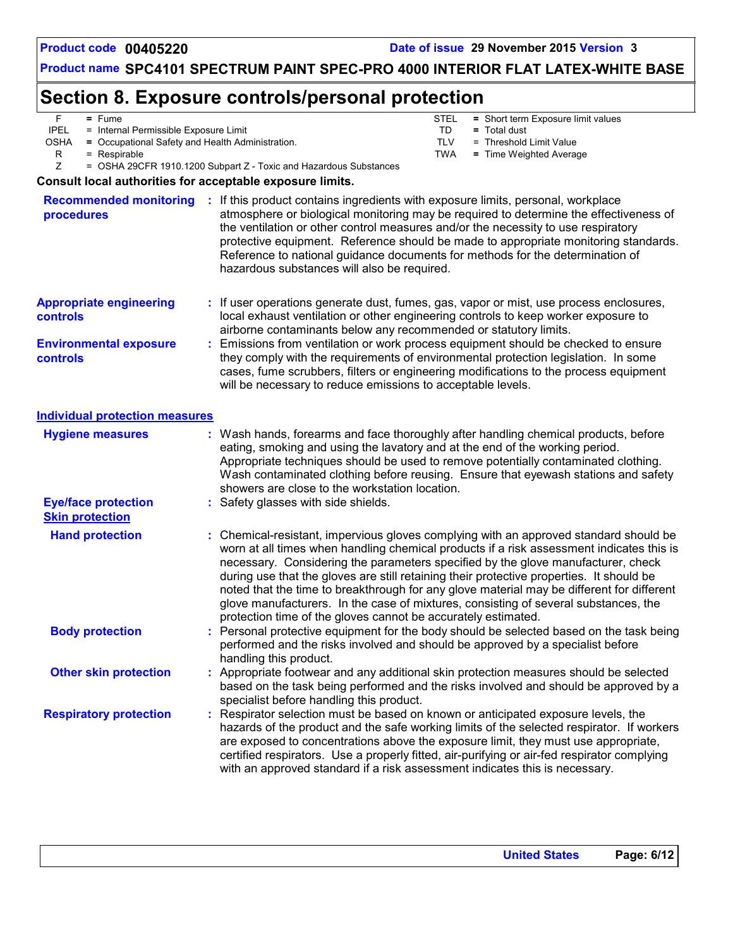### **Product name SPC4101 SPECTRUM PAINT SPEC-PRO 4000 INTERIOR FLAT LATEX-WHITE BASE**

# **Section 8. Exposure controls/personal protection**

| F.<br>$=$ Fume<br><b>IPEL</b><br>= Internal Permissible Exposure Limit<br><b>OSHA</b><br>= Occupational Safety and Health Administration.<br>R<br>= Respirable |                                                                   | <b>STEL</b><br>= Short term Exposure limit values<br>TD<br>$=$ Total dust<br><b>TLV</b><br>= Threshold Limit Value<br><b>TWA</b><br>= Time Weighted Average                                                                                                                                                                                                                                                                                                                                                                                         |
|----------------------------------------------------------------------------------------------------------------------------------------------------------------|-------------------------------------------------------------------|-----------------------------------------------------------------------------------------------------------------------------------------------------------------------------------------------------------------------------------------------------------------------------------------------------------------------------------------------------------------------------------------------------------------------------------------------------------------------------------------------------------------------------------------------------|
| Ζ                                                                                                                                                              | = OSHA 29CFR 1910.1200 Subpart Z - Toxic and Hazardous Substances |                                                                                                                                                                                                                                                                                                                                                                                                                                                                                                                                                     |
| Consult local authorities for acceptable exposure limits.                                                                                                      |                                                                   |                                                                                                                                                                                                                                                                                                                                                                                                                                                                                                                                                     |
| <b>Recommended monitoring</b><br>procedures                                                                                                                    | hazardous substances will also be required.                       | : If this product contains ingredients with exposure limits, personal, workplace<br>atmosphere or biological monitoring may be required to determine the effectiveness of<br>the ventilation or other control measures and/or the necessity to use respiratory<br>protective equipment. Reference should be made to appropriate monitoring standards.<br>Reference to national guidance documents for methods for the determination of                                                                                                              |
| <b>Appropriate engineering</b><br>controls                                                                                                                     |                                                                   | If user operations generate dust, fumes, gas, vapor or mist, use process enclosures,<br>local exhaust ventilation or other engineering controls to keep worker exposure to<br>airborne contaminants below any recommended or statutory limits.                                                                                                                                                                                                                                                                                                      |
| <b>Environmental exposure</b><br>controls                                                                                                                      | will be necessary to reduce emissions to acceptable levels.       | Emissions from ventilation or work process equipment should be checked to ensure<br>they comply with the requirements of environmental protection legislation. In some<br>cases, fume scrubbers, filters or engineering modifications to the process equipment                                                                                                                                                                                                                                                                                      |
| <b>Individual protection measures</b>                                                                                                                          |                                                                   |                                                                                                                                                                                                                                                                                                                                                                                                                                                                                                                                                     |
| <b>Hygiene measures</b>                                                                                                                                        | showers are close to the workstation location.                    | Wash hands, forearms and face thoroughly after handling chemical products, before<br>eating, smoking and using the lavatory and at the end of the working period.<br>Appropriate techniques should be used to remove potentially contaminated clothing.<br>Wash contaminated clothing before reusing. Ensure that eyewash stations and safety                                                                                                                                                                                                       |
| <b>Eye/face protection</b><br><b>Skin protection</b>                                                                                                           | Safety glasses with side shields.                                 |                                                                                                                                                                                                                                                                                                                                                                                                                                                                                                                                                     |
| <b>Hand protection</b>                                                                                                                                         | protection time of the gloves cannot be accurately estimated.     | Chemical-resistant, impervious gloves complying with an approved standard should be<br>worn at all times when handling chemical products if a risk assessment indicates this is<br>necessary. Considering the parameters specified by the glove manufacturer, check<br>during use that the gloves are still retaining their protective properties. It should be<br>noted that the time to breakthrough for any glove material may be different for different<br>glove manufacturers. In the case of mixtures, consisting of several substances, the |
| <b>Body protection</b>                                                                                                                                         | handling this product.                                            | : Personal protective equipment for the body should be selected based on the task being<br>performed and the risks involved and should be approved by a specialist before                                                                                                                                                                                                                                                                                                                                                                           |
| <b>Other skin protection</b>                                                                                                                                   | specialist before handling this product.                          | Appropriate footwear and any additional skin protection measures should be selected<br>based on the task being performed and the risks involved and should be approved by a                                                                                                                                                                                                                                                                                                                                                                         |
| <b>Respiratory protection</b>                                                                                                                                  |                                                                   | Respirator selection must be based on known or anticipated exposure levels, the<br>hazards of the product and the safe working limits of the selected respirator. If workers<br>are exposed to concentrations above the exposure limit, they must use appropriate,<br>certified respirators. Use a properly fitted, air-purifying or air-fed respirator complying<br>with an approved standard if a risk assessment indicates this is necessary.                                                                                                    |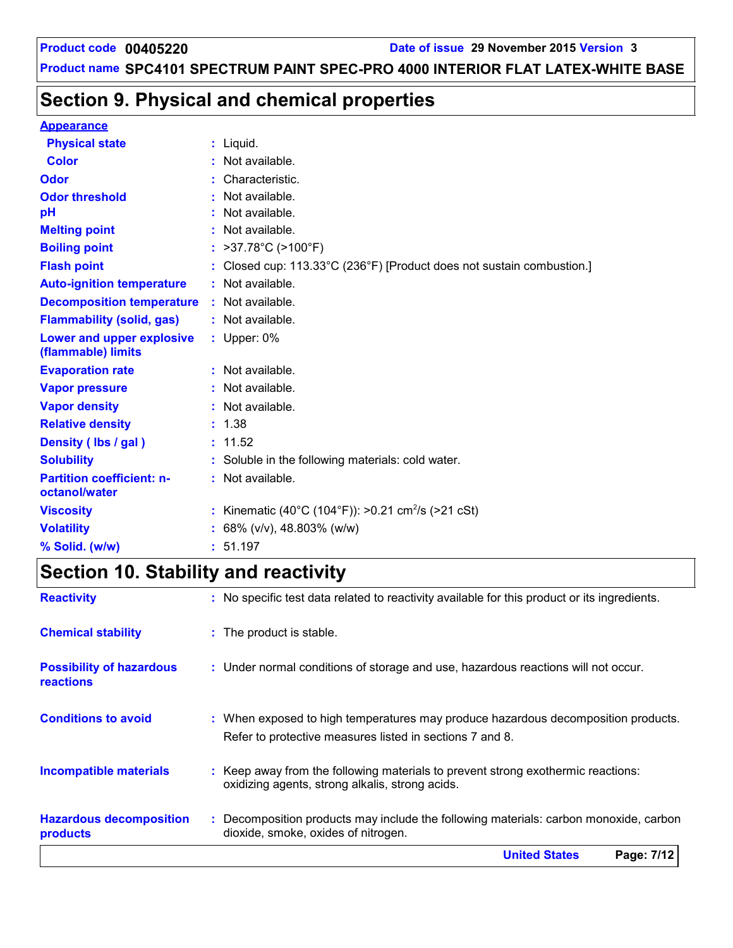# **Section 9. Physical and chemical properties**

#### **Appearance**

| <b>Physical state</b>                             | $:$ Liquid.                                                           |  |
|---------------------------------------------------|-----------------------------------------------------------------------|--|
| <b>Color</b>                                      | : Not available.                                                      |  |
| Odor                                              | : Characteristic.                                                     |  |
| <b>Odor threshold</b>                             | : Not available.                                                      |  |
| pH                                                | $:$ Not available.                                                    |  |
| <b>Melting point</b>                              | : Not available.                                                      |  |
| <b>Boiling point</b>                              | : $>37.78^{\circ}$ C ( $>100^{\circ}$ F)                              |  |
| <b>Flash point</b>                                | : Closed cup: 113.33°C (236°F) [Product does not sustain combustion.] |  |
| <b>Auto-ignition temperature</b>                  | : Not available.                                                      |  |
| <b>Decomposition temperature</b>                  | : Not available.                                                      |  |
| <b>Flammability (solid, gas)</b>                  | : Not available.                                                      |  |
| Lower and upper explosive<br>(flammable) limits   | : Upper: 0%                                                           |  |
| <b>Evaporation rate</b>                           | : Not available.                                                      |  |
| <b>Vapor pressure</b>                             | : Not available.                                                      |  |
| <b>Vapor density</b>                              | : Not available.                                                      |  |
| <b>Relative density</b>                           | : 1.38                                                                |  |
| Density (Ibs / gal)                               | : 11.52                                                               |  |
| <b>Solubility</b>                                 | : Soluble in the following materials: cold water.                     |  |
| <b>Partition coefficient: n-</b><br>octanol/water | $:$ Not available.                                                    |  |
| <b>Viscosity</b>                                  | : Kinematic (40°C (104°F)): >0.21 cm <sup>2</sup> /s (>21 cSt)        |  |
| <b>Volatility</b>                                 | : 68% ( $v/v$ ), 48.803% ( $w/w$ )                                    |  |
| % Solid. (w/w)                                    | : 51.197                                                              |  |

# **Section 10. Stability and reactivity**

| <b>Reactivity</b>                            | : No specific test data related to reactivity available for this product or its ingredients.                                                  |
|----------------------------------------------|-----------------------------------------------------------------------------------------------------------------------------------------------|
| <b>Chemical stability</b>                    | : The product is stable.                                                                                                                      |
| <b>Possibility of hazardous</b><br>reactions | : Under normal conditions of storage and use, hazardous reactions will not occur.                                                             |
| <b>Conditions to avoid</b>                   | : When exposed to high temperatures may produce hazardous decomposition products.<br>Refer to protective measures listed in sections 7 and 8. |
| <b>Incompatible materials</b>                | : Keep away from the following materials to prevent strong exothermic reactions:<br>oxidizing agents, strong alkalis, strong acids.           |
| <b>Hazardous decomposition</b><br>products   | : Decomposition products may include the following materials: carbon monoxide, carbon<br>dioxide, smoke, oxides of nitrogen.                  |
|                                              | <b>United States</b><br>Page: 7/12                                                                                                            |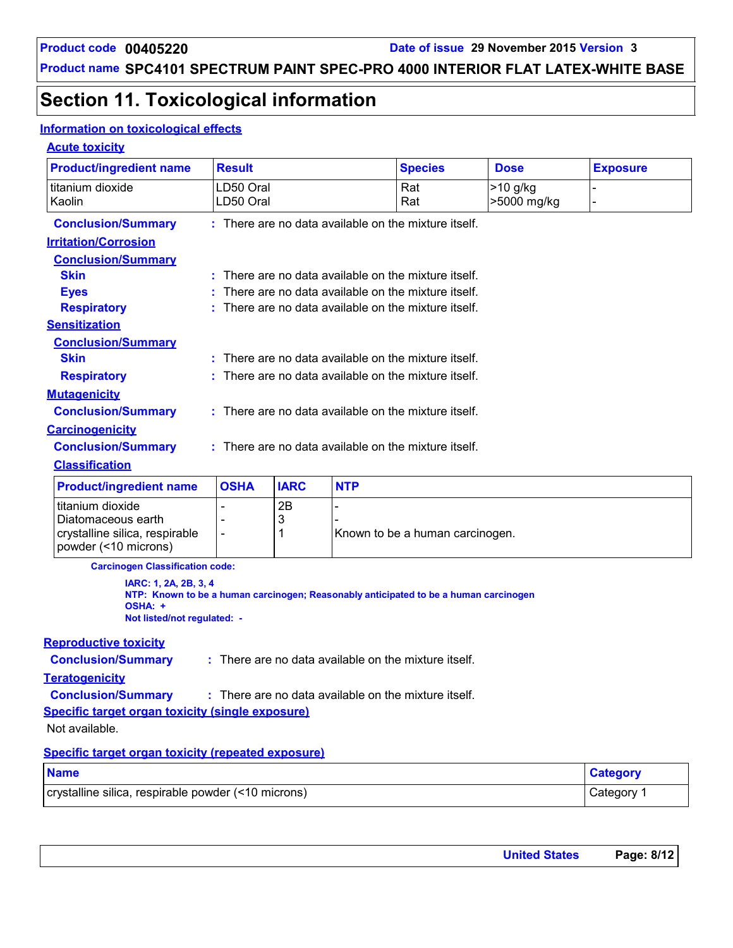# **Section 11. Toxicological information**

#### **Information on toxicological effects**

#### **Acute toxicity**

| <b>Product/ingredient name</b>                                  | <b>Result</b>                                        |                                                      |            | <b>Species</b>                                                                       | <b>Dose</b>             | <b>Exposure</b> |  |  |
|-----------------------------------------------------------------|------------------------------------------------------|------------------------------------------------------|------------|--------------------------------------------------------------------------------------|-------------------------|-----------------|--|--|
| titanium dioxide<br>Kaolin                                      | LD50 Oral<br>LD50 Oral                               |                                                      |            | Rat<br>Rat                                                                           | >10 g/kg<br>>5000 mg/kg |                 |  |  |
| <b>Conclusion/Summary</b>                                       |                                                      | : There are no data available on the mixture itself. |            |                                                                                      |                         |                 |  |  |
| <b>Irritation/Corrosion</b>                                     |                                                      |                                                      |            |                                                                                      |                         |                 |  |  |
| <b>Conclusion/Summary</b>                                       |                                                      |                                                      |            |                                                                                      |                         |                 |  |  |
| <b>Skin</b>                                                     | : There are no data available on the mixture itself. |                                                      |            |                                                                                      |                         |                 |  |  |
| <b>Eyes</b>                                                     |                                                      |                                                      |            | There are no data available on the mixture itself.                                   |                         |                 |  |  |
| <b>Respiratory</b>                                              |                                                      |                                                      |            | There are no data available on the mixture itself.                                   |                         |                 |  |  |
| <b>Sensitization</b>                                            |                                                      |                                                      |            |                                                                                      |                         |                 |  |  |
| <b>Conclusion/Summary</b>                                       |                                                      |                                                      |            |                                                                                      |                         |                 |  |  |
| <b>Skin</b>                                                     |                                                      |                                                      |            | : There are no data available on the mixture itself.                                 |                         |                 |  |  |
| <b>Respiratory</b>                                              |                                                      |                                                      |            | : There are no data available on the mixture itself.                                 |                         |                 |  |  |
| <b>Mutagenicity</b>                                             |                                                      |                                                      |            |                                                                                      |                         |                 |  |  |
| <b>Conclusion/Summary</b>                                       |                                                      |                                                      |            | : There are no data available on the mixture itself.                                 |                         |                 |  |  |
| <b>Carcinogenicity</b>                                          |                                                      |                                                      |            |                                                                                      |                         |                 |  |  |
| <b>Conclusion/Summary</b>                                       |                                                      |                                                      |            | : There are no data available on the mixture itself.                                 |                         |                 |  |  |
| <b>Classification</b>                                           |                                                      |                                                      |            |                                                                                      |                         |                 |  |  |
| <b>Product/ingredient name</b>                                  | <b>OSHA</b>                                          | <b>IARC</b>                                          | <b>NTP</b> |                                                                                      |                         |                 |  |  |
| titanium dioxide                                                |                                                      | 2B                                                   |            |                                                                                      |                         |                 |  |  |
| Diatomaceous earth                                              |                                                      | 3                                                    |            |                                                                                      |                         |                 |  |  |
| crystalline silica, respirable<br>powder (<10 microns)          | $\overline{\phantom{a}}$                             | 1                                                    |            | Known to be a human carcinogen.                                                      |                         |                 |  |  |
| <b>Carcinogen Classification code:</b>                          |                                                      |                                                      |            |                                                                                      |                         |                 |  |  |
| IARC: 1, 2A, 2B, 3, 4<br>OSHA: +<br>Not listed/not regulated: - |                                                      |                                                      |            | NTP: Known to be a human carcinogen; Reasonably anticipated to be a human carcinogen |                         |                 |  |  |
| <b>Reproductive toxicity</b>                                    |                                                      |                                                      |            |                                                                                      |                         |                 |  |  |
| <b>Conclusion/Summary</b>                                       |                                                      |                                                      |            | : There are no data available on the mixture itself.                                 |                         |                 |  |  |
| <b>Teratogenicity</b>                                           |                                                      |                                                      |            |                                                                                      |                         |                 |  |  |
| <b>Conclusion/Summary</b>                                       |                                                      |                                                      |            | : There are no data available on the mixture itself.                                 |                         |                 |  |  |
| <b>Specific target organ toxicity (single exposure)</b>         |                                                      |                                                      |            |                                                                                      |                         |                 |  |  |
| Not available.                                                  |                                                      |                                                      |            |                                                                                      |                         |                 |  |  |
| <b>Specific target organ toxicity (repeated exposure)</b>       |                                                      |                                                      |            |                                                                                      |                         |                 |  |  |
| <b>Name</b>                                                     |                                                      |                                                      |            |                                                                                      |                         | <b>Category</b> |  |  |
| crystalline silica, respirable powder (<10 microns)             |                                                      |                                                      |            |                                                                                      |                         | Category 1      |  |  |

| <b>United States</b> | Page: 8/12 |
|----------------------|------------|
|                      |            |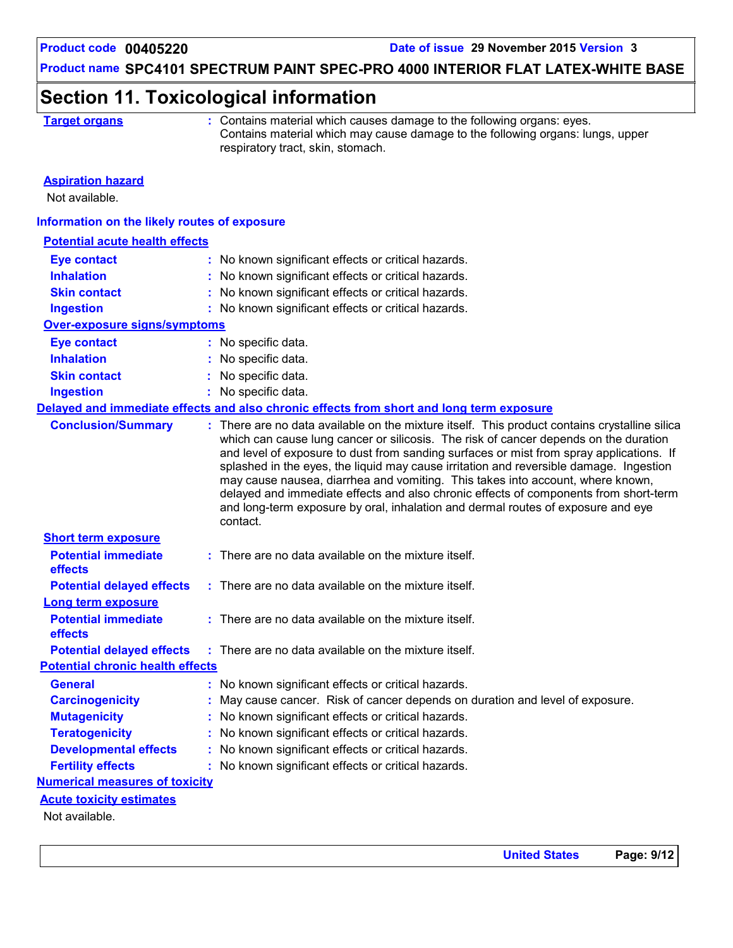### **Section 11. Toxicological information**

|  | Farget organ |  |  |  |
|--|--------------|--|--|--|
|  |              |  |  |  |

**Target or Contains material which causes damage to the following organs: eyes.** Contains material which may cause damage to the following organs: lungs, upper respiratory tract, skin, stomach.

#### **Aspiration hazard**

Not available.

#### **Information on the likely routes of exposure**

| <b>Potential acute health effects</b>   |                                                                                                                                                                                                                                                                                                                                                                                                                                                                                                                                                                                                                                                      |
|-----------------------------------------|------------------------------------------------------------------------------------------------------------------------------------------------------------------------------------------------------------------------------------------------------------------------------------------------------------------------------------------------------------------------------------------------------------------------------------------------------------------------------------------------------------------------------------------------------------------------------------------------------------------------------------------------------|
| <b>Eye contact</b>                      | : No known significant effects or critical hazards.                                                                                                                                                                                                                                                                                                                                                                                                                                                                                                                                                                                                  |
| <b>Inhalation</b>                       | : No known significant effects or critical hazards.                                                                                                                                                                                                                                                                                                                                                                                                                                                                                                                                                                                                  |
| <b>Skin contact</b>                     | : No known significant effects or critical hazards.                                                                                                                                                                                                                                                                                                                                                                                                                                                                                                                                                                                                  |
| <b>Ingestion</b>                        | : No known significant effects or critical hazards.                                                                                                                                                                                                                                                                                                                                                                                                                                                                                                                                                                                                  |
| <b>Over-exposure signs/symptoms</b>     |                                                                                                                                                                                                                                                                                                                                                                                                                                                                                                                                                                                                                                                      |
| <b>Eye contact</b>                      | : No specific data.                                                                                                                                                                                                                                                                                                                                                                                                                                                                                                                                                                                                                                  |
| <b>Inhalation</b>                       | : No specific data.                                                                                                                                                                                                                                                                                                                                                                                                                                                                                                                                                                                                                                  |
| <b>Skin contact</b>                     | : No specific data.                                                                                                                                                                                                                                                                                                                                                                                                                                                                                                                                                                                                                                  |
| <b>Ingestion</b>                        | : No specific data.                                                                                                                                                                                                                                                                                                                                                                                                                                                                                                                                                                                                                                  |
|                                         | Delayed and immediate effects and also chronic effects from short and long term exposure                                                                                                                                                                                                                                                                                                                                                                                                                                                                                                                                                             |
| <b>Conclusion/Summary</b>               | : There are no data available on the mixture itself. This product contains crystalline silica<br>which can cause lung cancer or silicosis. The risk of cancer depends on the duration<br>and level of exposure to dust from sanding surfaces or mist from spray applications. If<br>splashed in the eyes, the liquid may cause irritation and reversible damage. Ingestion<br>may cause nausea, diarrhea and vomiting. This takes into account, where known,<br>delayed and immediate effects and also chronic effects of components from short-term<br>and long-term exposure by oral, inhalation and dermal routes of exposure and eye<br>contact. |
| <b>Short term exposure</b>              |                                                                                                                                                                                                                                                                                                                                                                                                                                                                                                                                                                                                                                                      |
| <b>Potential immediate</b><br>effects   | $:$ There are no data available on the mixture itself.                                                                                                                                                                                                                                                                                                                                                                                                                                                                                                                                                                                               |
| <b>Potential delayed effects</b>        | $:$ There are no data available on the mixture itself.                                                                                                                                                                                                                                                                                                                                                                                                                                                                                                                                                                                               |
| <b>Long term exposure</b>               |                                                                                                                                                                                                                                                                                                                                                                                                                                                                                                                                                                                                                                                      |
| <b>Potential immediate</b>              | : There are no data available on the mixture itself.                                                                                                                                                                                                                                                                                                                                                                                                                                                                                                                                                                                                 |
| effects                                 |                                                                                                                                                                                                                                                                                                                                                                                                                                                                                                                                                                                                                                                      |
| <b>Potential delayed effects</b>        | : There are no data available on the mixture itself.                                                                                                                                                                                                                                                                                                                                                                                                                                                                                                                                                                                                 |
| <b>Potential chronic health effects</b> |                                                                                                                                                                                                                                                                                                                                                                                                                                                                                                                                                                                                                                                      |
| <b>General</b>                          | : No known significant effects or critical hazards.                                                                                                                                                                                                                                                                                                                                                                                                                                                                                                                                                                                                  |
| <b>Carcinogenicity</b>                  | : May cause cancer. Risk of cancer depends on duration and level of exposure.                                                                                                                                                                                                                                                                                                                                                                                                                                                                                                                                                                        |
| <b>Mutagenicity</b>                     | : No known significant effects or critical hazards.                                                                                                                                                                                                                                                                                                                                                                                                                                                                                                                                                                                                  |
| <b>Teratogenicity</b>                   | : No known significant effects or critical hazards.                                                                                                                                                                                                                                                                                                                                                                                                                                                                                                                                                                                                  |
| <b>Developmental effects</b>            | : No known significant effects or critical hazards.                                                                                                                                                                                                                                                                                                                                                                                                                                                                                                                                                                                                  |
| <b>Fertility effects</b>                | : No known significant effects or critical hazards.                                                                                                                                                                                                                                                                                                                                                                                                                                                                                                                                                                                                  |
| <b>Numerical measures of toxicity</b>   |                                                                                                                                                                                                                                                                                                                                                                                                                                                                                                                                                                                                                                                      |
| <b>Acute toxicity estimates</b>         |                                                                                                                                                                                                                                                                                                                                                                                                                                                                                                                                                                                                                                                      |
| Not available.                          |                                                                                                                                                                                                                                                                                                                                                                                                                                                                                                                                                                                                                                                      |
|                                         |                                                                                                                                                                                                                                                                                                                                                                                                                                                                                                                                                                                                                                                      |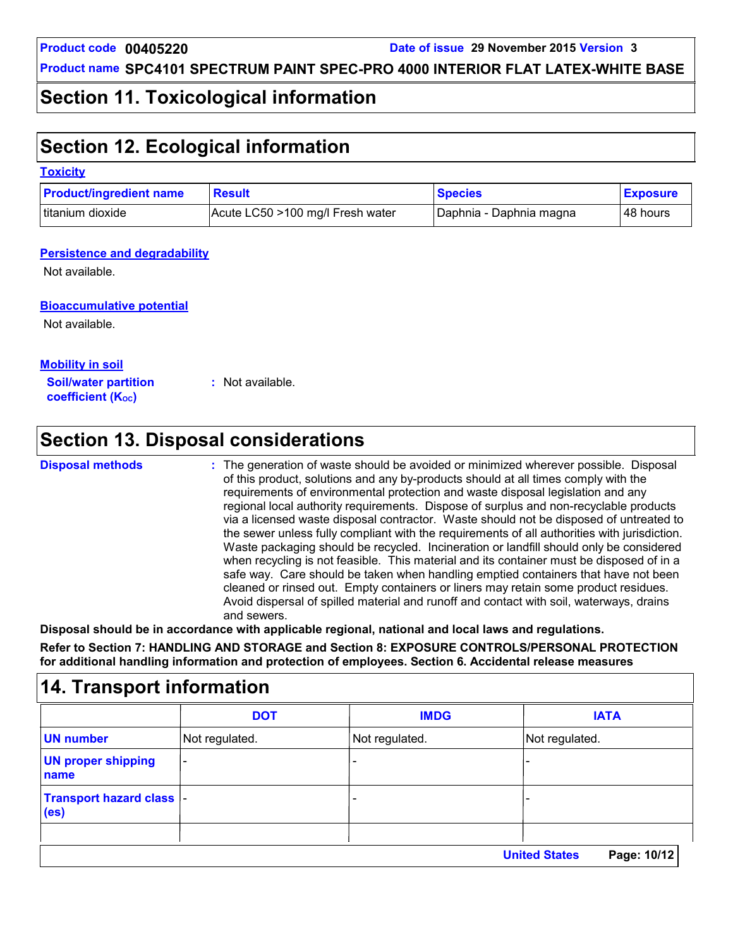### **Section 11. Toxicological information**

# **Section 12. Ecological information**

#### **Toxicity**

| <b>Product/ingredient name</b> | <b>Result</b>                    | <b>Species</b>          | <b>Exposure</b> |
|--------------------------------|----------------------------------|-------------------------|-----------------|
| titanium dioxide               | Acute LC50 >100 mg/l Fresh water | Daphnia - Daphnia magna | l 48 hours      |

#### **Persistence and degradability**

Not available.

#### **Bioaccumulative potential**

Not available.

**Mobility in soil**

**Soil/water partition coefficient (K**<sub>oc</sub>)

**:** Not available.

# **Section 13. Disposal considerations**

#### **Disposal methods :**

The generation of waste should be avoided or minimized wherever possible. Disposal of this product, solutions and any by-products should at all times comply with the requirements of environmental protection and waste disposal legislation and any regional local authority requirements. Dispose of surplus and non-recyclable products via a licensed waste disposal contractor. Waste should not be disposed of untreated to the sewer unless fully compliant with the requirements of all authorities with jurisdiction. Waste packaging should be recycled. Incineration or landfill should only be considered when recycling is not feasible. This material and its container must be disposed of in a safe way. Care should be taken when handling emptied containers that have not been cleaned or rinsed out. Empty containers or liners may retain some product residues. Avoid dispersal of spilled material and runoff and contact with soil, waterways, drains and sewers.

**Disposal should be in accordance with applicable regional, national and local laws and regulations. Refer to Section 7: HANDLING AND STORAGE and Section 8: EXPOSURE CONTROLS/PERSONAL PROTECTION for additional handling information and protection of employees. Section 6. Accidental release measures**

|                                                | <b>DOT</b>                   | <b>IMDG</b>    | <b>IATA</b>                         |
|------------------------------------------------|------------------------------|----------------|-------------------------------------|
| <b>UN</b> number                               | Not regulated.               | Not regulated. | Not regulated.                      |
| <b>UN proper shipping</b><br>name              | $\qquad \qquad \blacksquare$ |                |                                     |
| Transport hazard class  -<br>(e <sub>s</sub> ) |                              | ٠              |                                     |
|                                                |                              |                |                                     |
|                                                |                              |                | <b>United States</b><br>Page: 10/12 |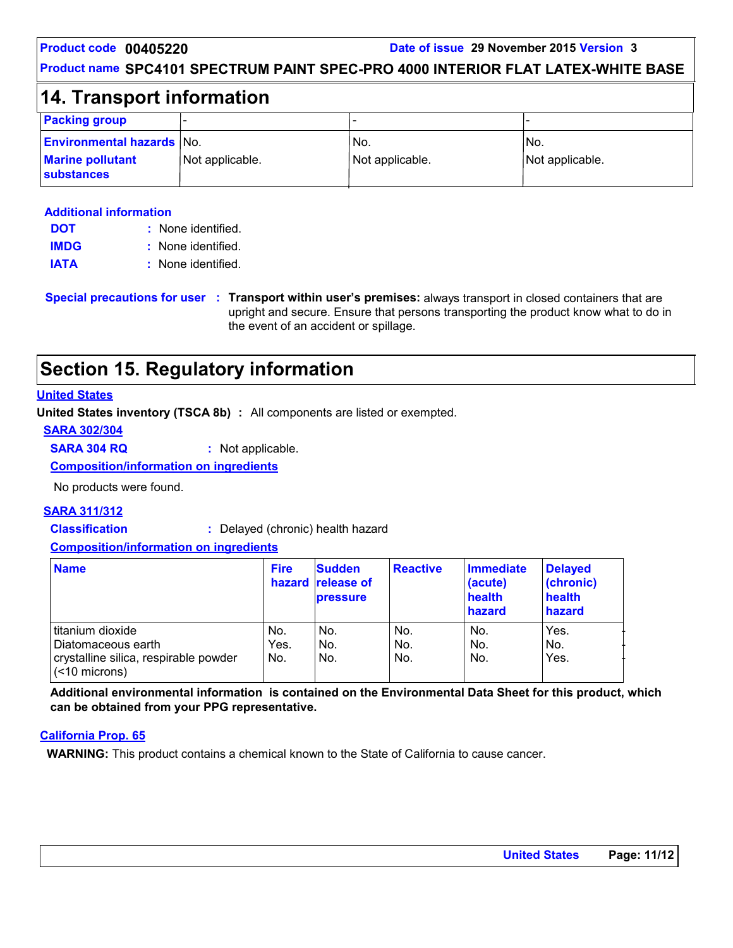#### **Product name SPC4101 SPECTRUM PAINT SPEC-PRO 4000 INTERIOR FLAT LATEX-WHITE BASE**

### **14. Transport information**

| <b>Packing group</b>                                        | -               | -                                  |                         |
|-------------------------------------------------------------|-----------------|------------------------------------|-------------------------|
| <b>Environmental hazards No.</b><br><b>Marine pollutant</b> | Not applicable. | IN <sub>o</sub><br>Not applicable. | 'No.<br>Not applicable. |
| <b>substances</b>                                           |                 |                                    |                         |

#### **Additional information**

| <b>DOT</b>  | : None identified. |
|-------------|--------------------|
| <b>IMDG</b> | : None identified. |
| <b>IATA</b> | : None identified. |

**Special precautions for user Transport within user's premises:** always transport in closed containers that are **:** upright and secure. Ensure that persons transporting the product know what to do in the event of an accident or spillage.

# **Section 15. Regulatory information**

#### **United States**

**United States inventory (TSCA 8b) :** All components are listed or exempted.

**SARA 302/304**

**SARA 304 RQ :** Not applicable.

**Composition/information on ingredients**

No products were found.

#### **SARA 311/312**

**Classification :** Delayed (chronic) health hazard

#### **Composition/information on ingredients**

| <b>Name</b>                                | <b>Fire</b> | <b>Sudden</b><br>hazard release of<br><b>pressure</b> | <b>Reactive</b> | <b>Immediate</b><br>(acute)<br>health<br>hazard | <b>Delayed</b><br>(chronic)<br>health<br>hazard |
|--------------------------------------------|-------------|-------------------------------------------------------|-----------------|-------------------------------------------------|-------------------------------------------------|
| titanium dioxide                           | No.         | No.                                                   | No.             | No.                                             | Yes.                                            |
| Diatomaceous earth                         | Yes.        | No.                                                   | No.             | No.                                             | No.                                             |
| crystalline silica, respirable powder<br>( | No.         | No.                                                   | No.             | No.                                             | Yes.                                            |

**Additional environmental information is contained on the Environmental Data Sheet for this product, which can be obtained from your PPG representative.**

#### **California Prop. 65**

**WARNING:** This product contains a chemical known to the State of California to cause cancer.